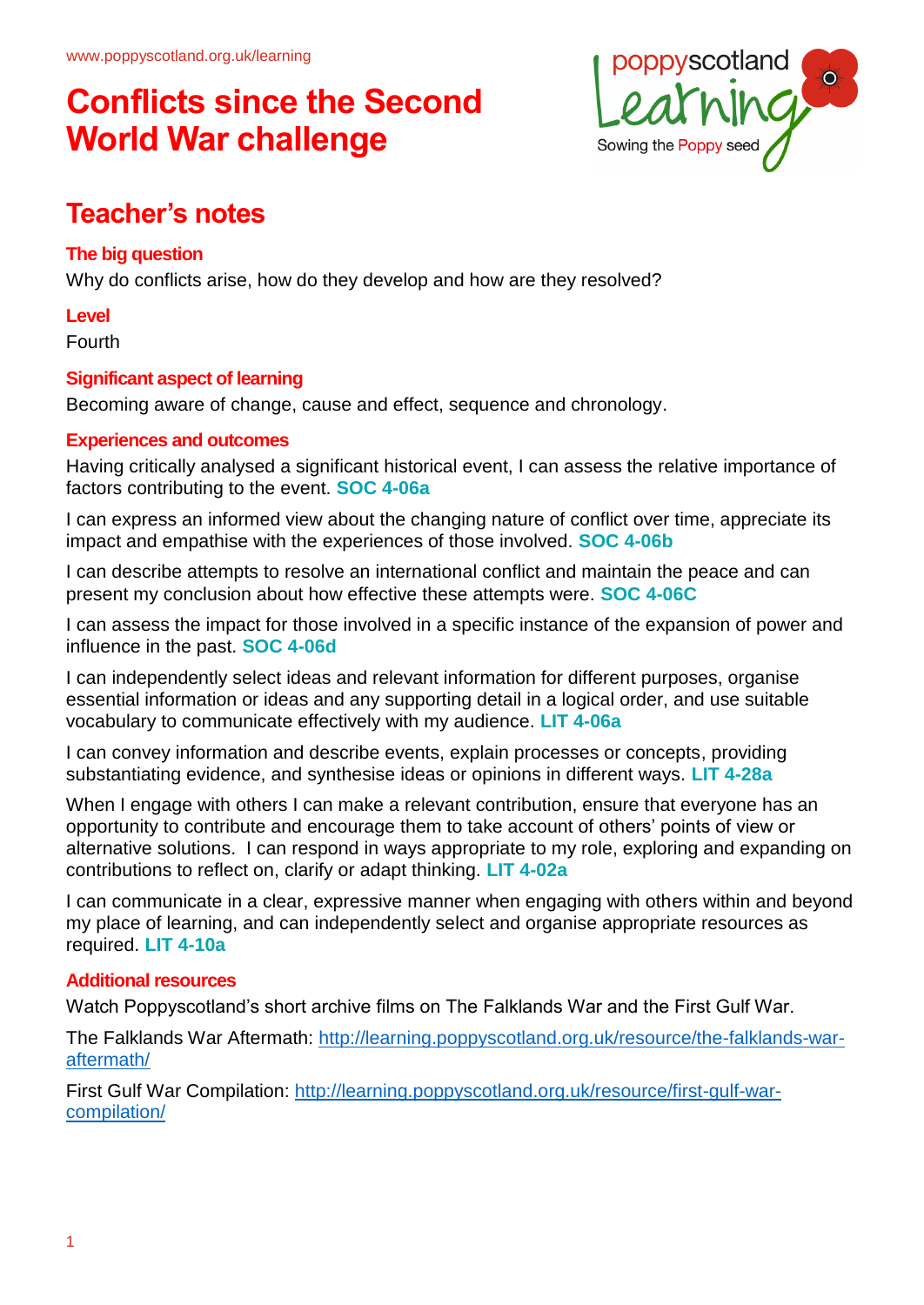

## **Teacher's notes**

#### **The big question**

Why do conflicts arise, how do they develop and how are they resolved?

**Level**

Fourth

#### **Significant aspect of learning**

Becoming aware of change, cause and effect, sequence and chronology.

#### **Experiences and outcomes**

Having critically analysed a significant historical event, I can assess the relative importance of factors contributing to the event. **SOC 4-06a**

I can express an informed view about the changing nature of conflict over time, appreciate its impact and empathise with the experiences of those involved. **SOC 4-06b**

I can describe attempts to resolve an international conflict and maintain the peace and can present my conclusion about how effective these attempts were. **SOC 4-06C**

I can assess the impact for those involved in a specific instance of the expansion of power and influence in the past. **SOC 4-06d**

I can independently select ideas and relevant information for different purposes, organise essential information or ideas and any supporting detail in a logical order, and use suitable vocabulary to communicate effectively with my audience. **LIT 4-06a**

I can convey information and describe events, explain processes or concepts, providing substantiating evidence, and synthesise ideas or opinions in different ways. **LIT 4-28a**

When I engage with others I can make a relevant contribution, ensure that everyone has an opportunity to contribute and encourage them to take account of others' points of view or alternative solutions. I can respond in ways appropriate to my role, exploring and expanding on contributions to reflect on, clarify or adapt thinking. **LIT 4-02a**

I can communicate in a clear, expressive manner when engaging with others within and beyond my place of learning, and can independently select and organise appropriate resources as required. **LIT 4-10a**

#### **Additional resources**

Watch Poppyscotland's short archive films on The Falklands War and the First Gulf War.

The Falklands War Aftermath: http://learning.poppyscotland.org.uk/resource/the-falklands-waraftermath/

First Gulf War Compilation: http://learning.poppyscotland.org.uk/resource/first-gulf-warcompilation/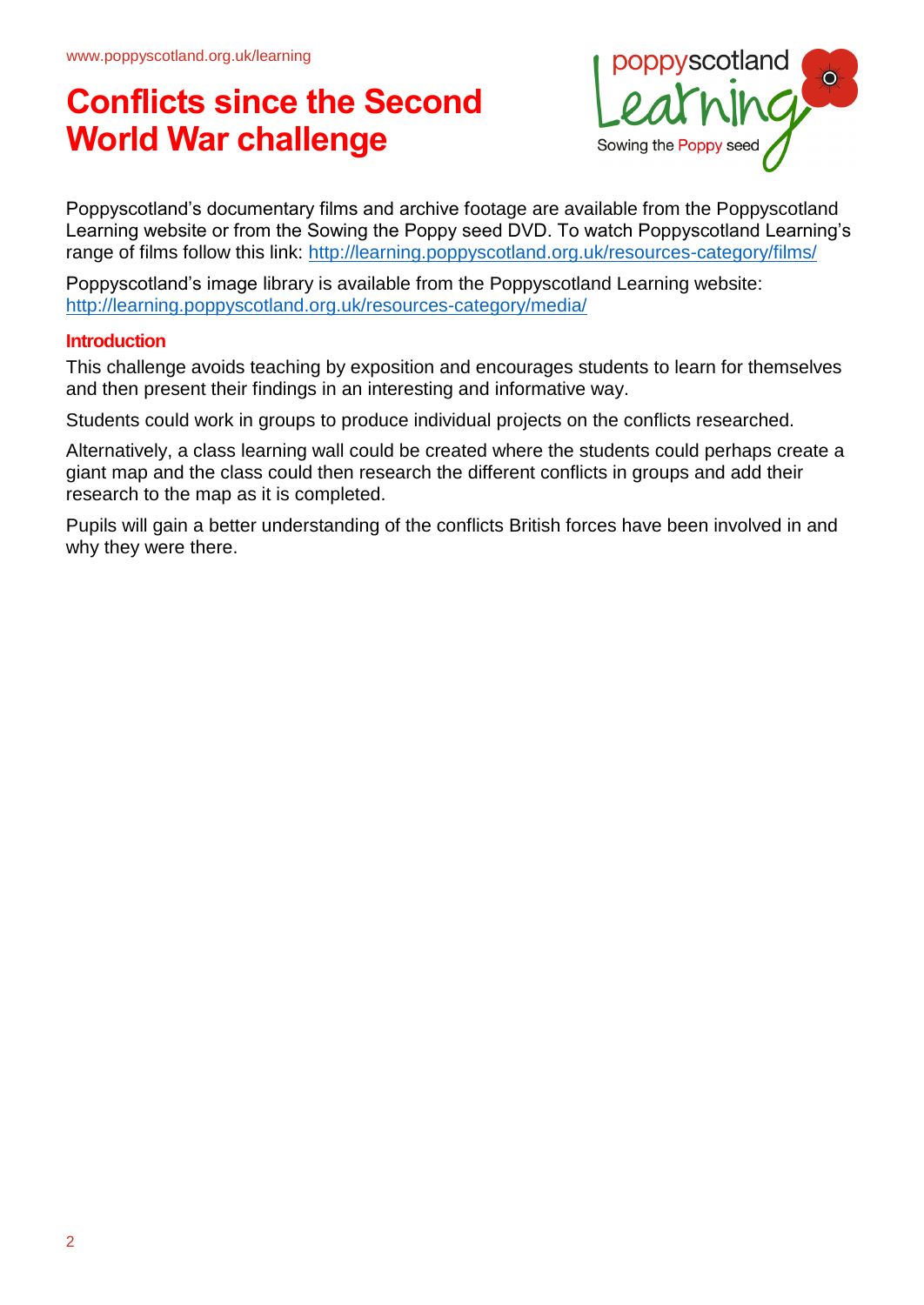

Poppyscotland's documentary films and archive footage are available from the Poppyscotland Learning website or from the Sowing the Poppy seed DVD. To watch Poppyscotland Learning's range of films follow this link: http://learning.poppyscotland.org.uk/resources-category/films/

Poppyscotland's image library is available from the Poppyscotland Learning website: http://learning.poppyscotland.org.uk/resources-category/media/

#### **Introduction**

This challenge avoids teaching by exposition and encourages students to learn for themselves and then present their findings in an interesting and informative way.

Students could work in groups to produce individual projects on the conflicts researched.

Alternatively, a class learning wall could be created where the students could perhaps create a giant map and the class could then research the different conflicts in groups and add their research to the map as it is completed.

Pupils will gain a better understanding of the conflicts British forces have been involved in and why they were there.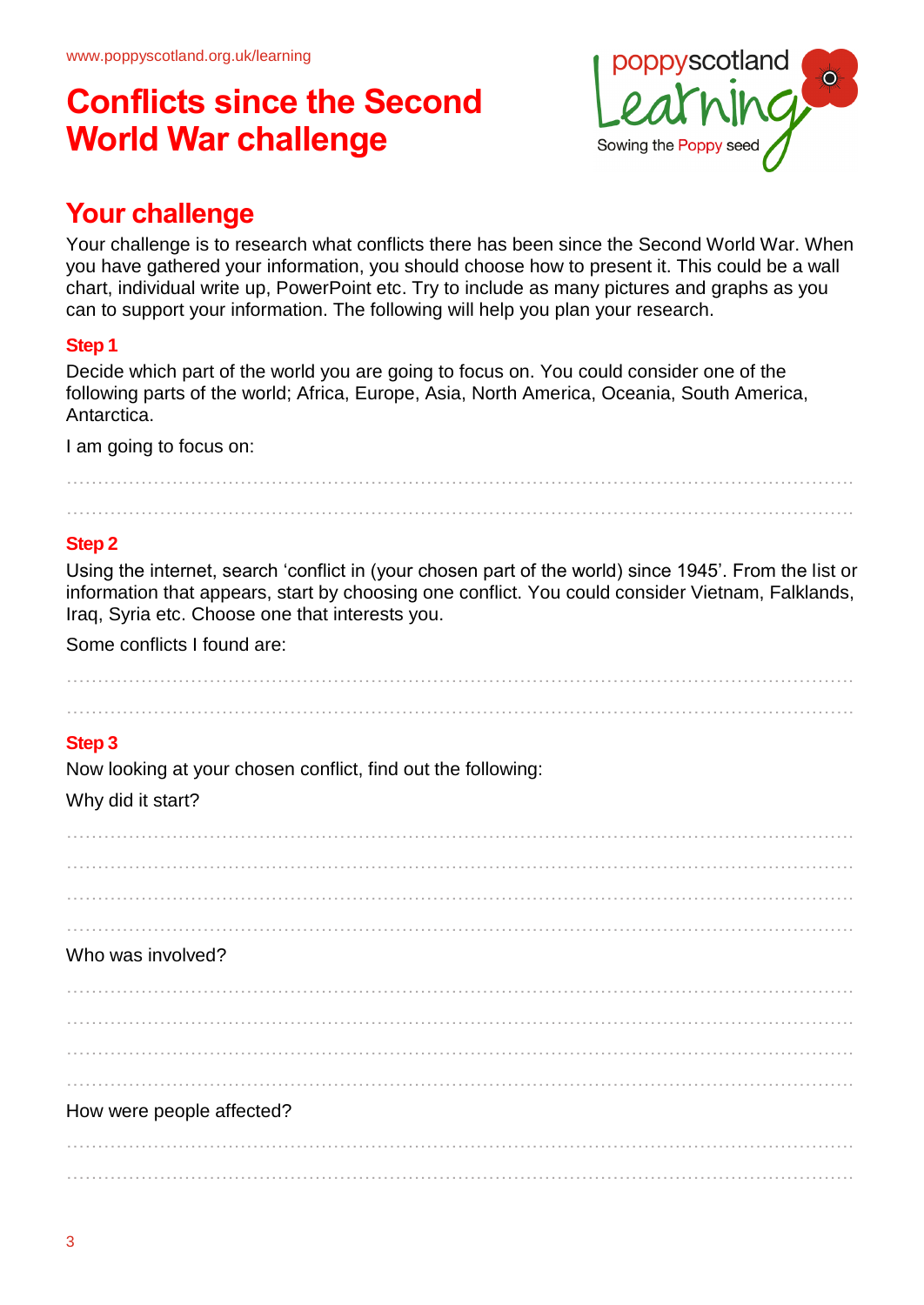

## **Your challenge**

Your challenge is to research what conflicts there has been since the Second World War. When you have gathered your information, you should choose how to present it. This could be a wall chart, individual write up, PowerPoint etc. Try to include as many pictures and graphs as you can to support your information. The following will help you plan your research.

#### **Step 1**

Decide which part of the world you are going to focus on. You could consider one of the following parts of the world; Africa, Europe, Asia, North America, Oceania, South America, Antarctica.

I am going to focus on:

………………………………………………………………………………………………………………. ……………………………………………………………………………………………………………….

#### **Step 2**

Using the internet, search 'conflict in (your chosen part of the world) since 1945'. From the list or information that appears, start by choosing one conflict. You could consider Vietnam, Falklands, Iraq, Syria etc. Choose one that interests you.

………………………………………………………………………………………………………………. ……………………………………………………………………………………………………………….

Some conflicts I found are:

#### **Step 3**

Now looking at your chosen conflict, find out the following:

#### Why did it start?

………………………………………………………………………………………………………………. ………………………………………………………………………………………………………………. ………………………………………………………………………………………………………………. ………………………………………………………………………………………………………………. Who was involved? ………………………………………………………………………………………………………………. ………………………………………………………………………………………………………………. ………………………………………………………………………………………………………………. ………………………………………………………………………………………………………………. How were people affected? ……………………………………………………………………………………………………………….

……………………………………………………………………………………………………………….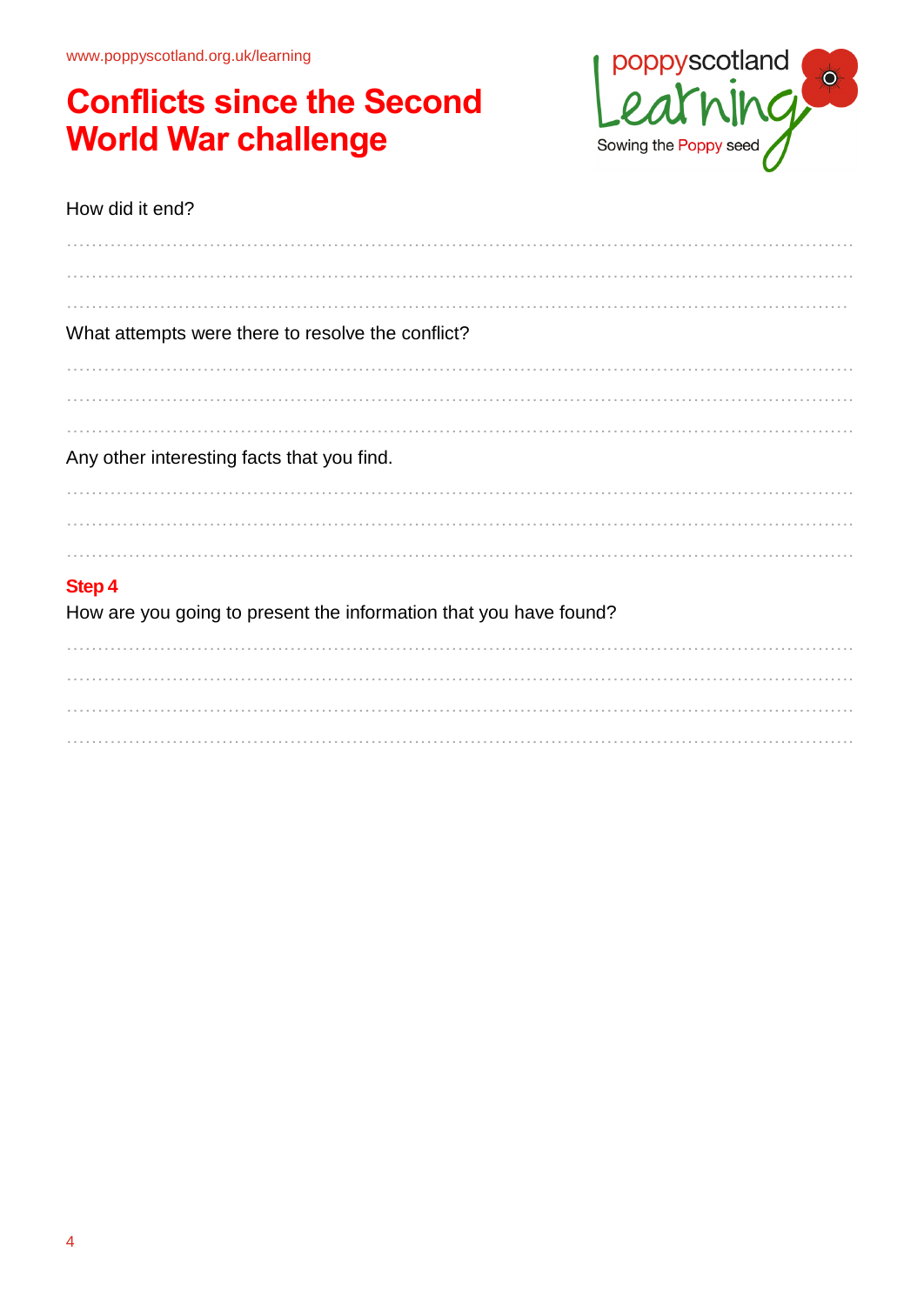www.poppyscotland.org.uk/learning

## **Conflicts since the Second World War challenge**



#### How did it end?

| What attempts were there to resolve the conflict?                 |
|-------------------------------------------------------------------|
|                                                                   |
|                                                                   |
|                                                                   |
| Any other interesting facts that you find.                        |
|                                                                   |
|                                                                   |
|                                                                   |
| <b>Step 4</b>                                                     |
| How are you going to present the information that you have found? |
|                                                                   |
|                                                                   |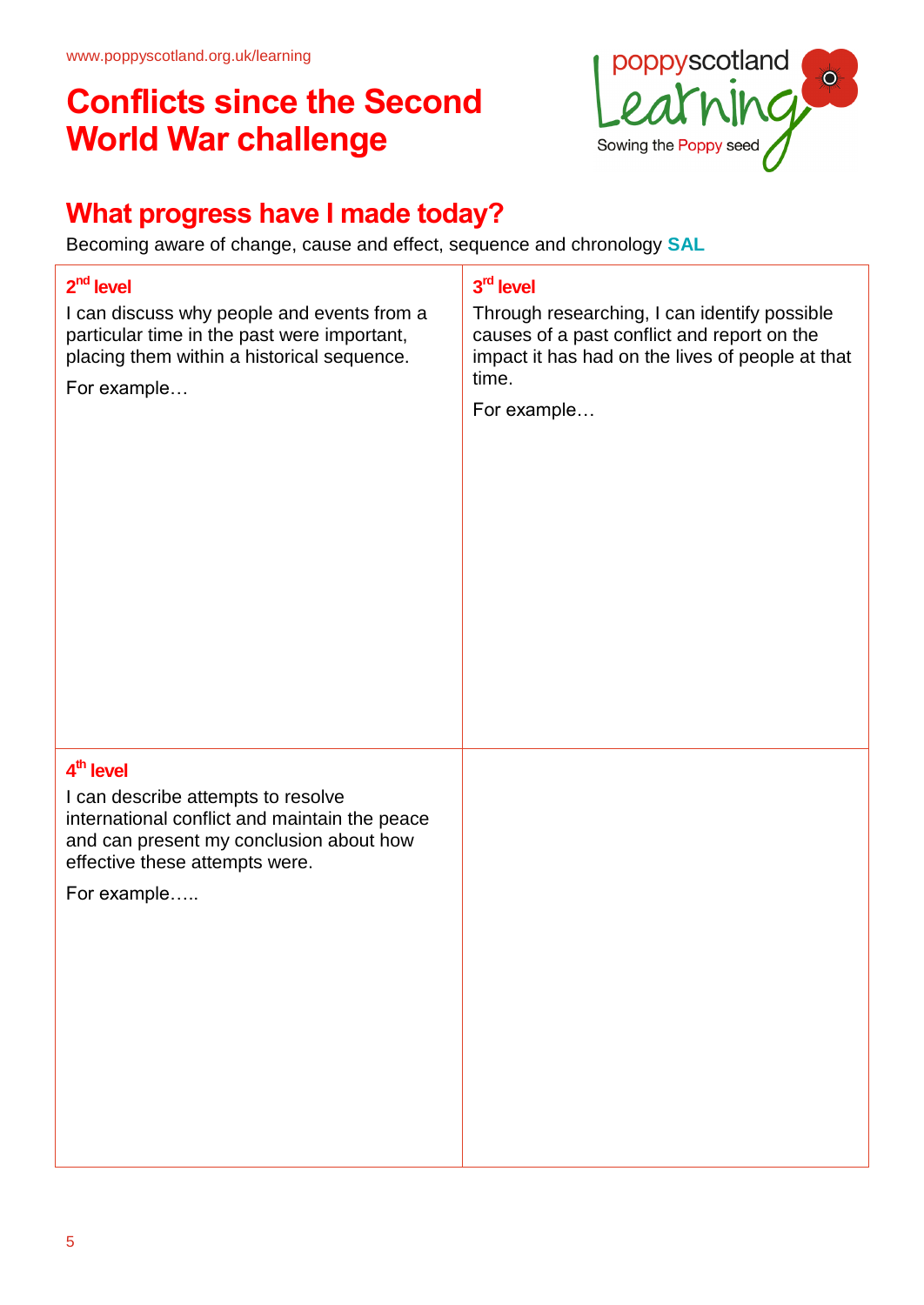

## **What progress have I made today?**

Becoming aware of change, cause and effect, sequence and chronology **SAL**

# **2 nd level** I can discuss why people and events from a particular time in the past were important, placing them within a historical sequence. For example… **3 rd level** Through researching, I can identify possible causes of a past conflict and report on the impact it has had on the lives of people at that time. For example… **4 th level** I can describe attempts to resolve international conflict and maintain the peace and can present my conclusion about how effective these attempts were. For example…..